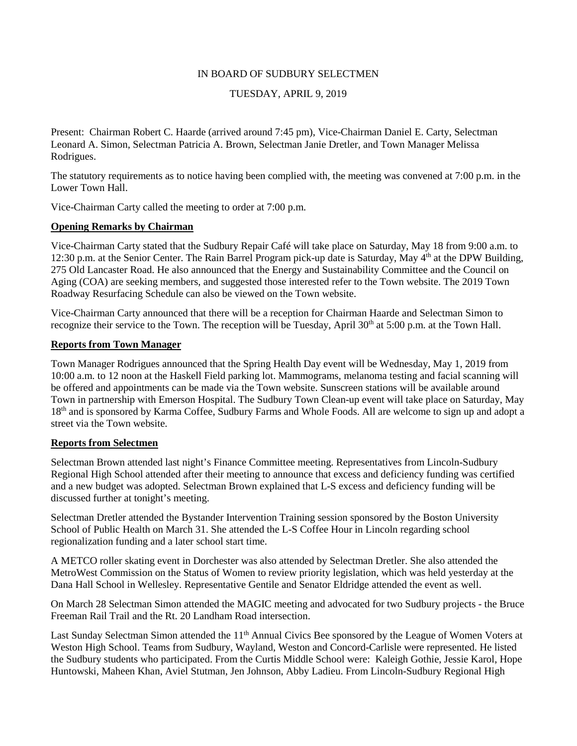## IN BOARD OF SUDBURY SELECTMEN

# TUESDAY, APRIL 9, 2019

Present: Chairman Robert C. Haarde (arrived around 7:45 pm), Vice-Chairman Daniel E. Carty, Selectman Leonard A. Simon, Selectman Patricia A. Brown, Selectman Janie Dretler, and Town Manager Melissa Rodrigues.

The statutory requirements as to notice having been complied with, the meeting was convened at 7:00 p.m. in the Lower Town Hall.

Vice-Chairman Carty called the meeting to order at 7:00 p.m.

## **Opening Remarks by Chairman**

Vice-Chairman Carty stated that the Sudbury Repair Café will take place on Saturday, May 18 from 9:00 a.m. to 12:30 p.m. at the Senior Center. The Rain Barrel Program pick-up date is Saturday, May 4<sup>th</sup> at the DPW Building, 275 Old Lancaster Road. He also announced that the Energy and Sustainability Committee and the Council on Aging (COA) are seeking members, and suggested those interested refer to the Town website. The 2019 Town Roadway Resurfacing Schedule can also be viewed on the Town website.

Vice-Chairman Carty announced that there will be a reception for Chairman Haarde and Selectman Simon to recognize their service to the Town. The reception will be Tuesday, April 30<sup>th</sup> at 5:00 p.m. at the Town Hall.

# **Reports from Town Manager**

Town Manager Rodrigues announced that the Spring Health Day event will be Wednesday, May 1, 2019 from 10:00 a.m. to 12 noon at the Haskell Field parking lot. Mammograms, melanoma testing and facial scanning will be offered and appointments can be made via the Town website. Sunscreen stations will be available around Town in partnership with Emerson Hospital. The Sudbury Town Clean-up event will take place on Saturday, May 18th and is sponsored by Karma Coffee, Sudbury Farms and Whole Foods. All are welcome to sign up and adopt a street via the Town website.

### **Reports from Selectmen**

Selectman Brown attended last night's Finance Committee meeting. Representatives from Lincoln-Sudbury Regional High School attended after their meeting to announce that excess and deficiency funding was certified and a new budget was adopted. Selectman Brown explained that L-S excess and deficiency funding will be discussed further at tonight's meeting.

Selectman Dretler attended the Bystander Intervention Training session sponsored by the Boston University School of Public Health on March 31. She attended the L-S Coffee Hour in Lincoln regarding school regionalization funding and a later school start time.

A METCO roller skating event in Dorchester was also attended by Selectman Dretler. She also attended the MetroWest Commission on the Status of Women to review priority legislation, which was held yesterday at the Dana Hall School in Wellesley. Representative Gentile and Senator Eldridge attended the event as well.

On March 28 Selectman Simon attended the MAGIC meeting and advocated for two Sudbury projects - the Bruce Freeman Rail Trail and the Rt. 20 Landham Road intersection.

Last Sunday Selectman Simon attended the 11<sup>th</sup> Annual Civics Bee sponsored by the League of Women Voters at Weston High School. Teams from Sudbury, Wayland, Weston and Concord-Carlisle were represented. He listed the Sudbury students who participated. From the Curtis Middle School were: Kaleigh Gothie, Jessie Karol, Hope Huntowski, Maheen Khan, Aviel Stutman, Jen Johnson, Abby Ladieu. From Lincoln-Sudbury Regional High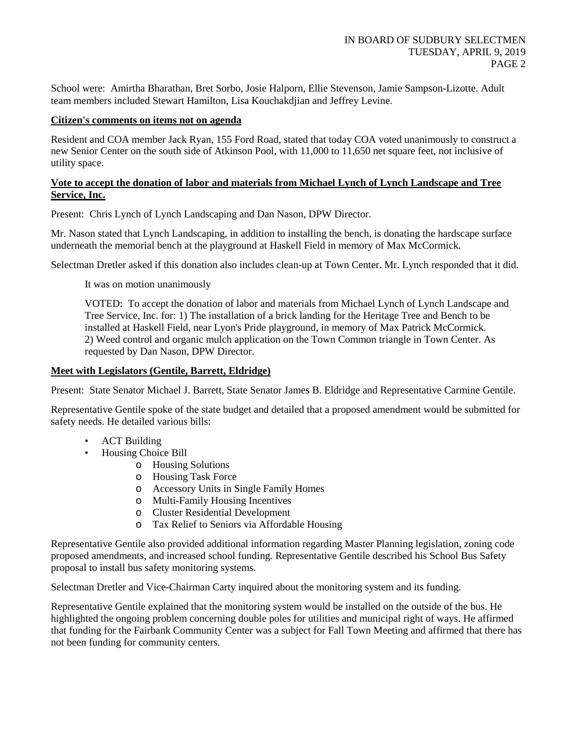School were: Amirtha Bharathan, Bret Sorbo, Josie Halporn, Ellie Stevenson, Jamie Sampson-Lizotte. Adult team members included Stewart Hamilton, Lisa Kouchakdjian and Jeffrey Levine.

# **Citizen's comments on items not on agenda**

Resident and COA member Jack Ryan, 155 Ford Road, stated that today COA voted unanimously to construct a new Senior Center on the south side of Atkinson Pool, with 11,000 to 11,650 net square feet, not inclusive of utility space.

# **Vote to accept the donation of labor and materials from Michael Lynch of Lynch Landscape and Tree Service, Inc.**

Present: Chris Lynch of Lynch Landscaping and Dan Nason, DPW Director.

Mr. Nason stated that Lynch Landscaping, in addition to installing the bench, is donating the hardscape surface underneath the memorial bench at the playground at Haskell Field in memory of Max McCormick.

Selectman Dretler asked if this donation also includes clean-up at Town Center. Mr. Lynch responded that it did.

It was on motion unanimously

VOTED: To accept the donation of labor and materials from Michael Lynch of Lynch Landscape and Tree Service, Inc. for: 1) The installation of a brick landing for the Heritage Tree and Bench to be installed at Haskell Field, near Lyon's Pride playground, in memory of Max Patrick McCormick. 2) Weed control and organic mulch application on the Town Common triangle in Town Center. As requested by Dan Nason, DPW Director.

## **Meet with Legislators (Gentile, Barrett, Eldridge)**

Present: State Senator Michael J. Barrett, State Senator James B. Eldridge and Representative Carmine Gentile.

Representative Gentile spoke of the state budget and detailed that a proposed amendment would be submitted for safety needs. He detailed various bills:

- ACT Building
- Housing Choice Bill
	- o Housing Solutions
	- o Housing Task Force
	- o Accessory Units in Single Family Homes
	- o Multi-Family Housing Incentives
	- o Cluster Residential Development
	- o Tax Relief to Seniors via Affordable Housing

Representative Gentile also provided additional information regarding Master Planning legislation, zoning code proposed amendments, and increased school funding. Representative Gentile described his School Bus Safety proposal to install bus safety monitoring systems.

Selectman Dretler and Vice-Chairman Carty inquired about the monitoring system and its funding.

Representative Gentile explained that the monitoring system would be installed on the outside of the bus. He highlighted the ongoing problem concerning double poles for utilities and municipal right of ways. He affirmed that funding for the Fairbank Community Center was a subject for Fall Town Meeting and affirmed that there has not been funding for community centers.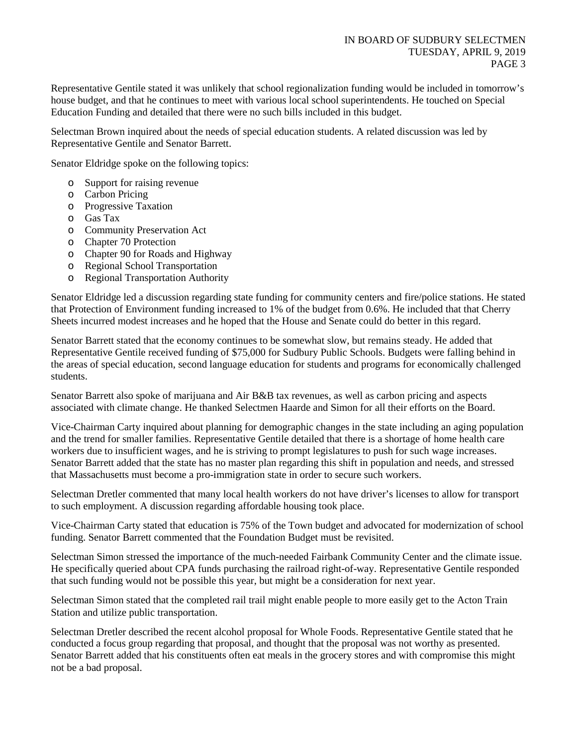Representative Gentile stated it was unlikely that school regionalization funding would be included in tomorrow's house budget, and that he continues to meet with various local school superintendents. He touched on Special Education Funding and detailed that there were no such bills included in this budget.

Selectman Brown inquired about the needs of special education students. A related discussion was led by Representative Gentile and Senator Barrett.

Senator Eldridge spoke on the following topics:

- o Support for raising revenue
- o Carbon Pricing
- o Progressive Taxation
- o Gas Tax
- o Community Preservation Act
- o Chapter 70 Protection
- o Chapter 90 for Roads and Highway
- o Regional School Transportation
- o Regional Transportation Authority

Senator Eldridge led a discussion regarding state funding for community centers and fire/police stations. He stated that Protection of Environment funding increased to 1% of the budget from 0.6%. He included that that Cherry Sheets incurred modest increases and he hoped that the House and Senate could do better in this regard.

Senator Barrett stated that the economy continues to be somewhat slow, but remains steady. He added that Representative Gentile received funding of \$75,000 for Sudbury Public Schools. Budgets were falling behind in the areas of special education, second language education for students and programs for economically challenged students.

Senator Barrett also spoke of marijuana and Air B&B tax revenues, as well as carbon pricing and aspects associated with climate change. He thanked Selectmen Haarde and Simon for all their efforts on the Board.

Vice-Chairman Carty inquired about planning for demographic changes in the state including an aging population and the trend for smaller families. Representative Gentile detailed that there is a shortage of home health care workers due to insufficient wages, and he is striving to prompt legislatures to push for such wage increases. Senator Barrett added that the state has no master plan regarding this shift in population and needs, and stressed that Massachusetts must become a pro-immigration state in order to secure such workers.

Selectman Dretler commented that many local health workers do not have driver's licenses to allow for transport to such employment. A discussion regarding affordable housing took place.

Vice-Chairman Carty stated that education is 75% of the Town budget and advocated for modernization of school funding. Senator Barrett commented that the Foundation Budget must be revisited.

Selectman Simon stressed the importance of the much-needed Fairbank Community Center and the climate issue. He specifically queried about CPA funds purchasing the railroad right-of-way. Representative Gentile responded that such funding would not be possible this year, but might be a consideration for next year.

Selectman Simon stated that the completed rail trail might enable people to more easily get to the Acton Train Station and utilize public transportation.

Selectman Dretler described the recent alcohol proposal for Whole Foods. Representative Gentile stated that he conducted a focus group regarding that proposal, and thought that the proposal was not worthy as presented. Senator Barrett added that his constituents often eat meals in the grocery stores and with compromise this might not be a bad proposal.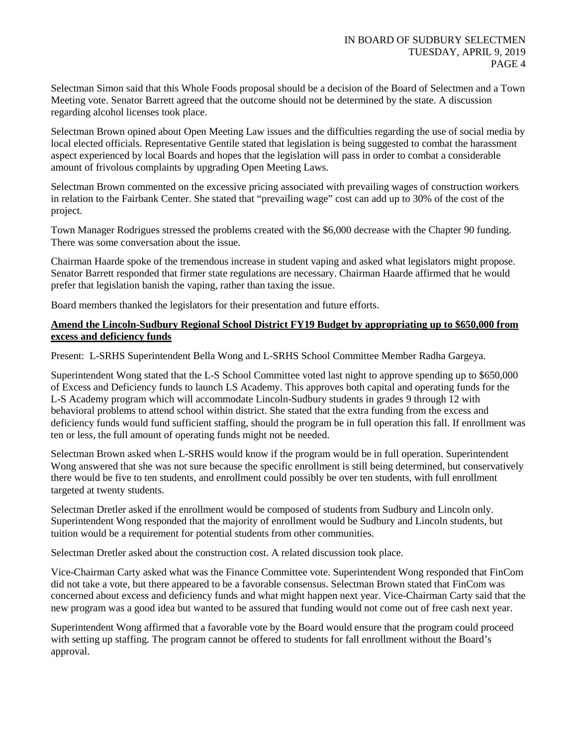Selectman Simon said that this Whole Foods proposal should be a decision of the Board of Selectmen and a Town Meeting vote. Senator Barrett agreed that the outcome should not be determined by the state. A discussion regarding alcohol licenses took place.

Selectman Brown opined about Open Meeting Law issues and the difficulties regarding the use of social media by local elected officials. Representative Gentile stated that legislation is being suggested to combat the harassment aspect experienced by local Boards and hopes that the legislation will pass in order to combat a considerable amount of frivolous complaints by upgrading Open Meeting Laws.

Selectman Brown commented on the excessive pricing associated with prevailing wages of construction workers in relation to the Fairbank Center. She stated that "prevailing wage" cost can add up to 30% of the cost of the project.

Town Manager Rodrigues stressed the problems created with the \$6,000 decrease with the Chapter 90 funding. There was some conversation about the issue.

Chairman Haarde spoke of the tremendous increase in student vaping and asked what legislators might propose. Senator Barrett responded that firmer state regulations are necessary. Chairman Haarde affirmed that he would prefer that legislation banish the vaping, rather than taxing the issue.

Board members thanked the legislators for their presentation and future efforts.

# **Amend the Lincoln-Sudbury Regional School District FY19 Budget by appropriating up to \$650,000 from excess and deficiency funds**

Present: L-SRHS Superintendent Bella Wong and L-SRHS School Committee Member Radha Gargeya.

Superintendent Wong stated that the L-S School Committee voted last night to approve spending up to \$650,000 of Excess and Deficiency funds to launch LS Academy. This approves both capital and operating funds for the L-S Academy program which will accommodate Lincoln-Sudbury students in grades 9 through 12 with behavioral problems to attend school within district. She stated that the extra funding from the excess and deficiency funds would fund sufficient staffing, should the program be in full operation this fall. If enrollment was ten or less, the full amount of operating funds might not be needed.

Selectman Brown asked when L-SRHS would know if the program would be in full operation. Superintendent Wong answered that she was not sure because the specific enrollment is still being determined, but conservatively there would be five to ten students, and enrollment could possibly be over ten students, with full enrollment targeted at twenty students.

Selectman Dretler asked if the enrollment would be composed of students from Sudbury and Lincoln only. Superintendent Wong responded that the majority of enrollment would be Sudbury and Lincoln students, but tuition would be a requirement for potential students from other communities.

Selectman Dretler asked about the construction cost. A related discussion took place.

Vice-Chairman Carty asked what was the Finance Committee vote. Superintendent Wong responded that FinCom did not take a vote, but there appeared to be a favorable consensus. Selectman Brown stated that FinCom was concerned about excess and deficiency funds and what might happen next year. Vice-Chairman Carty said that the new program was a good idea but wanted to be assured that funding would not come out of free cash next year.

Superintendent Wong affirmed that a favorable vote by the Board would ensure that the program could proceed with setting up staffing. The program cannot be offered to students for fall enrollment without the Board's approval.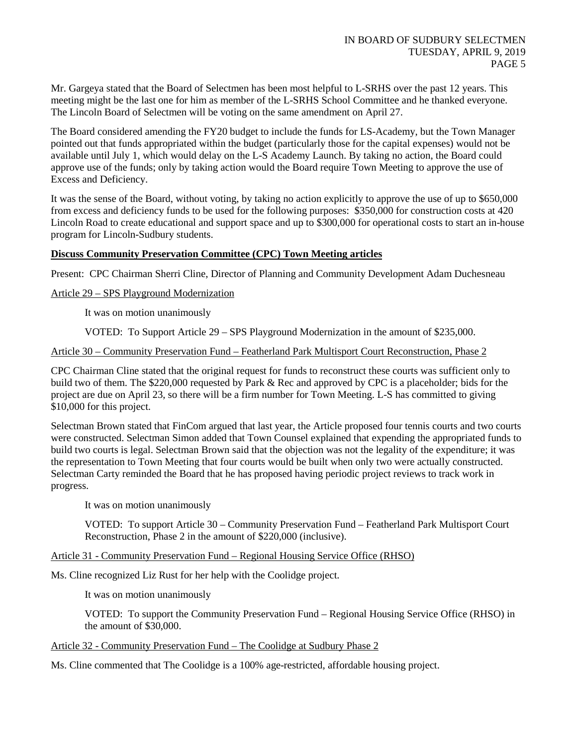Mr. Gargeya stated that the Board of Selectmen has been most helpful to L-SRHS over the past 12 years. This meeting might be the last one for him as member of the L-SRHS School Committee and he thanked everyone. The Lincoln Board of Selectmen will be voting on the same amendment on April 27.

The Board considered amending the FY20 budget to include the funds for LS-Academy, but the Town Manager pointed out that funds appropriated within the budget (particularly those for the capital expenses) would not be available until July 1, which would delay on the L-S Academy Launch. By taking no action, the Board could approve use of the funds; only by taking action would the Board require Town Meeting to approve the use of Excess and Deficiency.

It was the sense of the Board, without voting, by taking no action explicitly to approve the use of up to \$650,000 from excess and deficiency funds to be used for the following purposes: \$350,000 for construction costs at 420 Lincoln Road to create educational and support space and up to \$300,000 for operational costs to start an in-house program for Lincoln-Sudbury students.

# **Discuss Community Preservation Committee (CPC) Town Meeting articles**

Present: CPC Chairman Sherri Cline, Director of Planning and Community Development Adam Duchesneau

## Article 29 – SPS Playground Modernization

It was on motion unanimously

VOTED: To Support Article 29 – SPS Playground Modernization in the amount of \$235,000.

## Article 30 – Community Preservation Fund – Featherland Park Multisport Court Reconstruction, Phase 2

CPC Chairman Cline stated that the original request for funds to reconstruct these courts was sufficient only to build two of them. The \$220,000 requested by Park & Rec and approved by CPC is a placeholder; bids for the project are due on April 23, so there will be a firm number for Town Meeting. L-S has committed to giving \$10,000 for this project.

Selectman Brown stated that FinCom argued that last year, the Article proposed four tennis courts and two courts were constructed. Selectman Simon added that Town Counsel explained that expending the appropriated funds to build two courts is legal. Selectman Brown said that the objection was not the legality of the expenditure; it was the representation to Town Meeting that four courts would be built when only two were actually constructed. Selectman Carty reminded the Board that he has proposed having periodic project reviews to track work in progress.

It was on motion unanimously

VOTED: To support Article 30 – Community Preservation Fund – Featherland Park Multisport Court Reconstruction, Phase 2 in the amount of \$220,000 (inclusive).

## Article 31 - Community Preservation Fund – Regional Housing Service Office (RHSO)

Ms. Cline recognized Liz Rust for her help with the Coolidge project.

It was on motion unanimously

VOTED: To support the Community Preservation Fund – Regional Housing Service Office (RHSO) in the amount of \$30,000.

### Article 32 - Community Preservation Fund – The Coolidge at Sudbury Phase 2

Ms. Cline commented that The Coolidge is a 100% age-restricted, affordable housing project.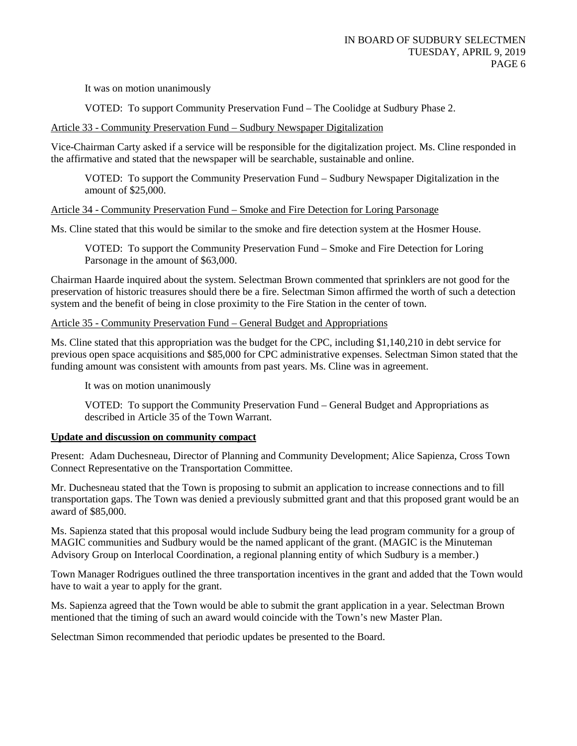VOTED: To support Community Preservation Fund – The Coolidge at Sudbury Phase 2.

## Article 33 - Community Preservation Fund – Sudbury Newspaper Digitalization

Vice-Chairman Carty asked if a service will be responsible for the digitalization project. Ms. Cline responded in the affirmative and stated that the newspaper will be searchable, sustainable and online.

VOTED: To support the Community Preservation Fund – Sudbury Newspaper Digitalization in the amount of \$25,000.

## Article 34 - Community Preservation Fund – Smoke and Fire Detection for Loring Parsonage

Ms. Cline stated that this would be similar to the smoke and fire detection system at the Hosmer House.

VOTED: To support the Community Preservation Fund – Smoke and Fire Detection for Loring Parsonage in the amount of \$63,000.

Chairman Haarde inquired about the system. Selectman Brown commented that sprinklers are not good for the preservation of historic treasures should there be a fire. Selectman Simon affirmed the worth of such a detection system and the benefit of being in close proximity to the Fire Station in the center of town.

# Article 35 - Community Preservation Fund – General Budget and Appropriations

Ms. Cline stated that this appropriation was the budget for the CPC, including \$1,140,210 in debt service for previous open space acquisitions and \$85,000 for CPC administrative expenses. Selectman Simon stated that the funding amount was consistent with amounts from past years. Ms. Cline was in agreement.

It was on motion unanimously

VOTED: To support the Community Preservation Fund – General Budget and Appropriations as described in Article 35 of the Town Warrant.

### **Update and discussion on community compact**

Present: Adam Duchesneau, Director of Planning and Community Development; Alice Sapienza, Cross Town Connect Representative on the Transportation Committee.

Mr. Duchesneau stated that the Town is proposing to submit an application to increase connections and to fill transportation gaps. The Town was denied a previously submitted grant and that this proposed grant would be an award of \$85,000.

Ms. Sapienza stated that this proposal would include Sudbury being the lead program community for a group of MAGIC communities and Sudbury would be the named applicant of the grant. (MAGIC is the Minuteman Advisory Group on Interlocal Coordination, a regional planning entity of which Sudbury is a member.)

Town Manager Rodrigues outlined the three transportation incentives in the grant and added that the Town would have to wait a year to apply for the grant.

Ms. Sapienza agreed that the Town would be able to submit the grant application in a year. Selectman Brown mentioned that the timing of such an award would coincide with the Town's new Master Plan.

Selectman Simon recommended that periodic updates be presented to the Board.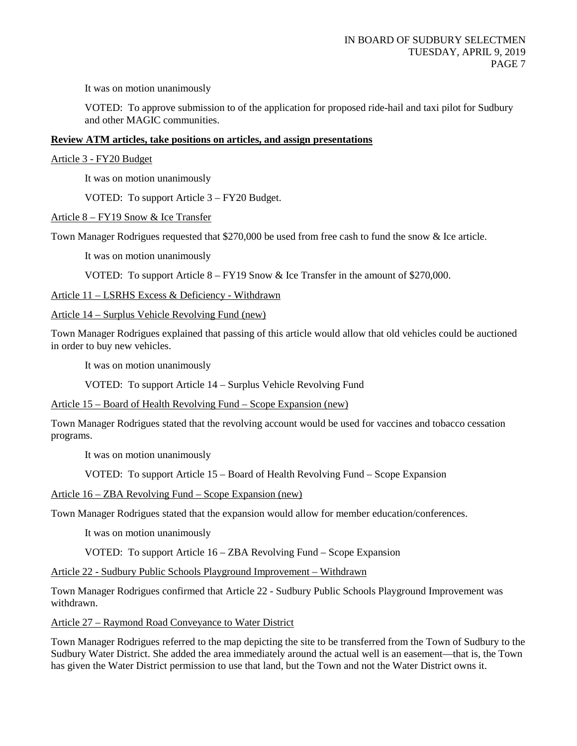VOTED: To approve submission to of the application for proposed ride-hail and taxi pilot for Sudbury and other MAGIC communities.

## **Review ATM articles, take positions on articles, and assign presentations**

Article 3 - FY20 Budget

It was on motion unanimously

VOTED: To support Article 3 – FY20 Budget.

Article 8 – FY19 Snow & Ice Transfer

Town Manager Rodrigues requested that \$270,000 be used from free cash to fund the snow & Ice article.

It was on motion unanimously

VOTED: To support Article  $8 - FY19$  Snow & Ice Transfer in the amount of \$270,000.

Article 11 – LSRHS Excess & Deficiency - Withdrawn

Article 14 – Surplus Vehicle Revolving Fund (new)

Town Manager Rodrigues explained that passing of this article would allow that old vehicles could be auctioned in order to buy new vehicles.

It was on motion unanimously

VOTED: To support Article 14 – Surplus Vehicle Revolving Fund

Article 15 – Board of Health Revolving Fund – Scope Expansion (new)

Town Manager Rodrigues stated that the revolving account would be used for vaccines and tobacco cessation programs.

It was on motion unanimously

VOTED: To support Article 15 – Board of Health Revolving Fund – Scope Expansion

Article 16 – ZBA Revolving Fund – Scope Expansion (new)

Town Manager Rodrigues stated that the expansion would allow for member education/conferences.

It was on motion unanimously

VOTED: To support Article 16 – ZBA Revolving Fund – Scope Expansion

Article 22 - Sudbury Public Schools Playground Improvement – Withdrawn

Town Manager Rodrigues confirmed that Article 22 - Sudbury Public Schools Playground Improvement was withdrawn.

Article 27 – Raymond Road Conveyance to Water District

Town Manager Rodrigues referred to the map depicting the site to be transferred from the Town of Sudbury to the Sudbury Water District. She added the area immediately around the actual well is an easement—that is, the Town has given the Water District permission to use that land, but the Town and not the Water District owns it.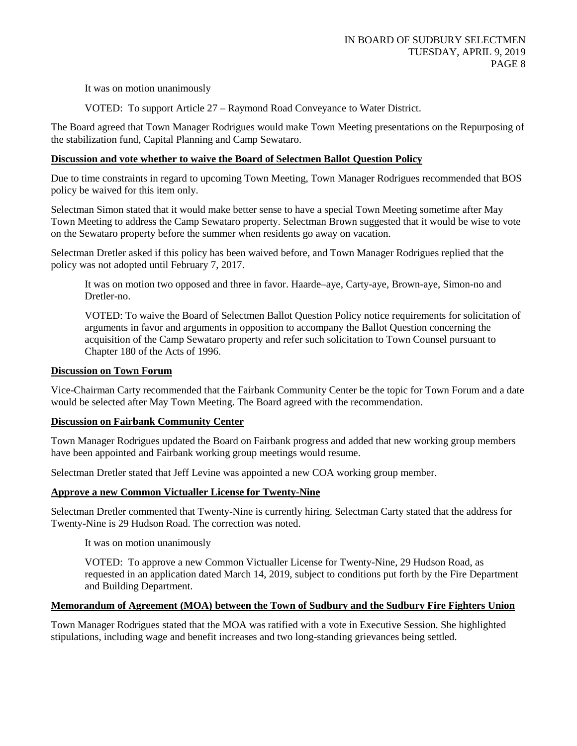VOTED: To support Article 27 – Raymond Road Conveyance to Water District.

The Board agreed that Town Manager Rodrigues would make Town Meeting presentations on the Repurposing of the stabilization fund, Capital Planning and Camp Sewataro.

# **Discussion and vote whether to waive the Board of Selectmen Ballot Question Policy**

Due to time constraints in regard to upcoming Town Meeting, Town Manager Rodrigues recommended that BOS policy be waived for this item only.

Selectman Simon stated that it would make better sense to have a special Town Meeting sometime after May Town Meeting to address the Camp Sewataro property. Selectman Brown suggested that it would be wise to vote on the Sewataro property before the summer when residents go away on vacation.

Selectman Dretler asked if this policy has been waived before, and Town Manager Rodrigues replied that the policy was not adopted until February 7, 2017.

It was on motion two opposed and three in favor. Haarde–aye, Carty-aye, Brown-aye, Simon-no and Dretler-no.

VOTED: To waive the Board of Selectmen Ballot Question Policy notice requirements for solicitation of arguments in favor and arguments in opposition to accompany the Ballot Question concerning the acquisition of the Camp Sewataro property and refer such solicitation to Town Counsel pursuant to Chapter 180 of the Acts of 1996.

# **Discussion on Town Forum**

Vice-Chairman Carty recommended that the Fairbank Community Center be the topic for Town Forum and a date would be selected after May Town Meeting. The Board agreed with the recommendation.

# **Discussion on Fairbank Community Center**

Town Manager Rodrigues updated the Board on Fairbank progress and added that new working group members have been appointed and Fairbank working group meetings would resume.

Selectman Dretler stated that Jeff Levine was appointed a new COA working group member.

# **Approve a new Common Victualler License for Twenty-Nine**

Selectman Dretler commented that Twenty-Nine is currently hiring. Selectman Carty stated that the address for Twenty-Nine is 29 Hudson Road. The correction was noted.

It was on motion unanimously

VOTED: To approve a new Common Victualler License for Twenty-Nine, 29 Hudson Road, as requested in an application dated March 14, 2019, subject to conditions put forth by the Fire Department and Building Department.

# **Memorandum of Agreement (MOA) between the Town of Sudbury and the Sudbury Fire Fighters Union**

Town Manager Rodrigues stated that the MOA was ratified with a vote in Executive Session. She highlighted stipulations, including wage and benefit increases and two long-standing grievances being settled.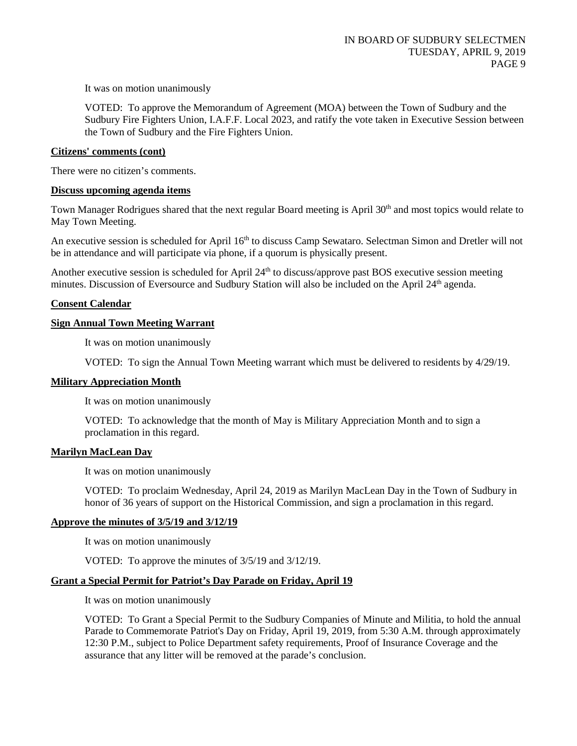VOTED: To approve the Memorandum of Agreement (MOA) between the Town of Sudbury and the Sudbury Fire Fighters Union, I.A.F.F. Local 2023, and ratify the vote taken in Executive Session between the Town of Sudbury and the Fire Fighters Union.

### **Citizens' comments (cont)**

There were no citizen's comments.

## **Discuss upcoming agenda items**

Town Manager Rodrigues shared that the next regular Board meeting is April  $30<sup>th</sup>$  and most topics would relate to May Town Meeting.

An executive session is scheduled for April 16<sup>th</sup> to discuss Camp Sewataro. Selectman Simon and Dretler will not be in attendance and will participate via phone, if a quorum is physically present.

Another executive session is scheduled for April 24<sup>th</sup> to discuss/approve past BOS executive session meeting minutes. Discussion of Eversource and Sudbury Station will also be included on the April 24<sup>th</sup> agenda.

## **Consent Calendar**

## **Sign Annual Town Meeting Warrant**

It was on motion unanimously

VOTED: To sign the Annual Town Meeting warrant which must be delivered to residents by 4/29/19.

### **Military Appreciation Month**

It was on motion unanimously

VOTED: To acknowledge that the month of May is Military Appreciation Month and to sign a proclamation in this regard.

### **Marilyn MacLean Day**

It was on motion unanimously

VOTED: To proclaim Wednesday, April 24, 2019 as Marilyn MacLean Day in the Town of Sudbury in honor of 36 years of support on the Historical Commission, and sign a proclamation in this regard.

### **Approve the minutes of 3/5/19 and 3/12/19**

It was on motion unanimously

VOTED: To approve the minutes of 3/5/19 and 3/12/19.

# **Grant a Special Permit for Patriot's Day Parade on Friday, April 19**

It was on motion unanimously

VOTED: To Grant a Special Permit to the Sudbury Companies of Minute and Militia, to hold the annual Parade to Commemorate Patriot's Day on Friday, April 19, 2019, from 5:30 A.M. through approximately 12:30 P.M., subject to Police Department safety requirements, Proof of Insurance Coverage and the assurance that any litter will be removed at the parade's conclusion.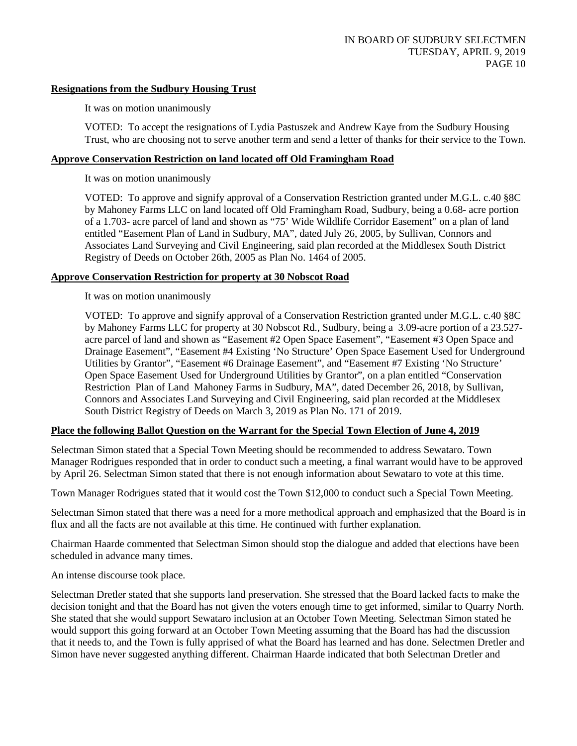# **Resignations from the Sudbury Housing Trust**

It was on motion unanimously

VOTED: To accept the resignations of Lydia Pastuszek and Andrew Kaye from the Sudbury Housing Trust, who are choosing not to serve another term and send a letter of thanks for their service to the Town.

## **Approve Conservation Restriction on land located off Old Framingham Road**

It was on motion unanimously

VOTED: To approve and signify approval of a Conservation Restriction granted under M.G.L. c.40 §8C by Mahoney Farms LLC on land located off Old Framingham Road, Sudbury, being a 0.68- acre portion of a 1.703- acre parcel of land and shown as "75' Wide Wildlife Corridor Easement" on a plan of land entitled "Easement Plan of Land in Sudbury, MA", dated July 26, 2005, by Sullivan, Connors and Associates Land Surveying and Civil Engineering, said plan recorded at the Middlesex South District Registry of Deeds on October 26th, 2005 as Plan No. 1464 of 2005.

# **Approve Conservation Restriction for property at 30 Nobscot Road**

It was on motion unanimously

VOTED: To approve and signify approval of a Conservation Restriction granted under M.G.L. c.40 §8C by Mahoney Farms LLC for property at 30 Nobscot Rd., Sudbury, being a 3.09-acre portion of a 23.527 acre parcel of land and shown as "Easement #2 Open Space Easement", "Easement #3 Open Space and Drainage Easement", "Easement #4 Existing 'No Structure' Open Space Easement Used for Underground Utilities by Grantor", "Easement #6 Drainage Easement", and "Easement #7 Existing 'No Structure' Open Space Easement Used for Underground Utilities by Grantor", on a plan entitled "Conservation Restriction Plan of Land Mahoney Farms in Sudbury, MA", dated December 26, 2018, by Sullivan, Connors and Associates Land Surveying and Civil Engineering, said plan recorded at the Middlesex South District Registry of Deeds on March 3, 2019 as Plan No. 171 of 2019.

# **Place the following Ballot Question on the Warrant for the Special Town Election of June 4, 2019**

Selectman Simon stated that a Special Town Meeting should be recommended to address Sewataro. Town Manager Rodrigues responded that in order to conduct such a meeting, a final warrant would have to be approved by April 26. Selectman Simon stated that there is not enough information about Sewataro to vote at this time.

Town Manager Rodrigues stated that it would cost the Town \$12,000 to conduct such a Special Town Meeting.

Selectman Simon stated that there was a need for a more methodical approach and emphasized that the Board is in flux and all the facts are not available at this time. He continued with further explanation.

Chairman Haarde commented that Selectman Simon should stop the dialogue and added that elections have been scheduled in advance many times.

An intense discourse took place.

Selectman Dretler stated that she supports land preservation. She stressed that the Board lacked facts to make the decision tonight and that the Board has not given the voters enough time to get informed, similar to Quarry North. She stated that she would support Sewataro inclusion at an October Town Meeting. Selectman Simon stated he would support this going forward at an October Town Meeting assuming that the Board has had the discussion that it needs to, and the Town is fully apprised of what the Board has learned and has done. Selectmen Dretler and Simon have never suggested anything different. Chairman Haarde indicated that both Selectman Dretler and